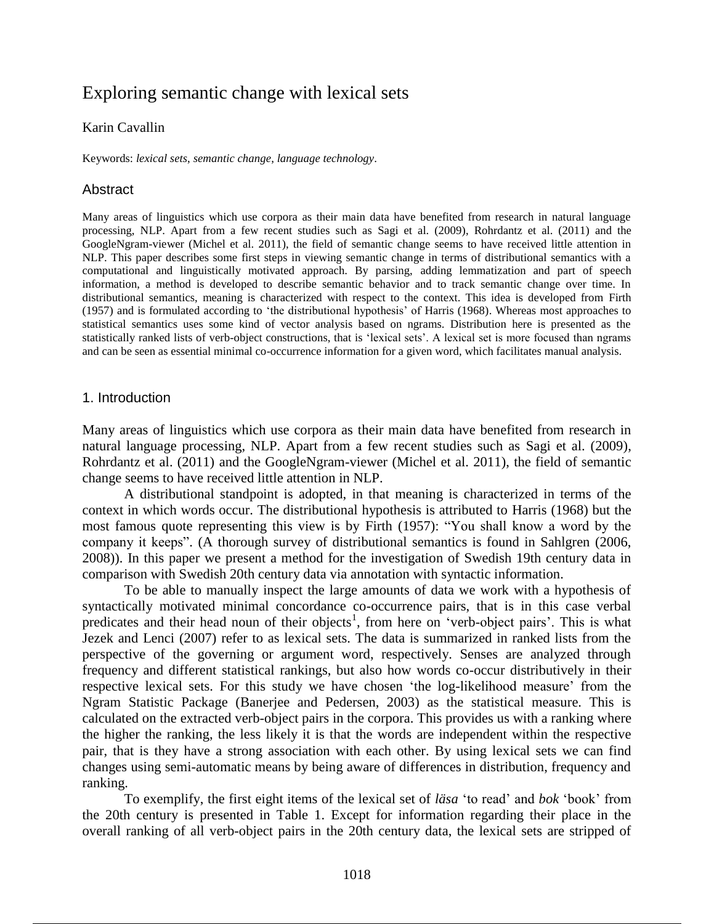# Exploring semantic change with lexical sets

### Karin Cavallin

Keywords: *lexical sets*, *semantic change*, *language technology*.

## Abstract

Many areas of linguistics which use corpora as their main data have benefited from research in natural language processing, NLP. Apart from a few recent studies such as Sagi et al. (2009), Rohrdantz et al. (2011) and the GoogleNgram-viewer (Michel et al. 2011), the field of semantic change seems to have received little attention in NLP. This paper describes some first steps in viewing semantic change in terms of distributional semantics with a computational and linguistically motivated approach. By parsing, adding lemmatization and part of speech information, a method is developed to describe semantic behavior and to track semantic change over time. In distributional semantics, meaning is characterized with respect to the context. This idea is developed from Firth (1957) and is formulated according to 'the distributional hypothesis' of Harris (1968). Whereas most approaches to statistical semantics uses some kind of vector analysis based on ngrams. Distribution here is presented as the statistically ranked lists of verb-object constructions, that is 'lexical sets'. A lexical set is more focused than ngrams and can be seen as essential minimal co-occurrence information for a given word, which facilitates manual analysis.

#### 1. Introduction

Many areas of linguistics which use corpora as their main data have benefited from research in natural language processing, NLP. Apart from a few recent studies such as Sagi et al. (2009), Rohrdantz et al. (2011) and the GoogleNgram-viewer (Michel et al. 2011), the field of semantic change seems to have received little attention in NLP.

A distributional standpoint is adopted, in that meaning is characterized in terms of the context in which words occur. The distributional hypothesis is attributed to Harris (1968) but the most famous quote representing this view is by Firth (1957): "You shall know a word by the company it keeps". (A thorough survey of distributional semantics is found in Sahlgren (2006, 2008)). In this paper we present a method for the investigation of Swedish 19th century data in comparison with Swedish 20th century data via annotation with syntactic information.

To be able to manually inspect the large amounts of data we work with a hypothesis of syntactically motivated minimal concordance co-occurrence pairs, that is in this case verbal predicates and their head noun of their objects<sup>1</sup>, from here on 'verb-object pairs'. This is what Jezek and Lenci (2007) refer to as lexical sets. The data is summarized in ranked lists from the perspective of the governing or argument word, respectively. Senses are analyzed through frequency and different statistical rankings, but also how words co-occur distributively in their respective lexical sets. For this study we have chosen 'the log-likelihood measure' from the Ngram Statistic Package (Banerjee and Pedersen, 2003) as the statistical measure. This is calculated on the extracted verb-object pairs in the corpora. This provides us with a ranking where the higher the ranking, the less likely it is that the words are independent within the respective pair, that is they have a strong association with each other. By using lexical sets we can find changes using semi-automatic means by being aware of differences in distribution, frequency and ranking.

To exemplify, the first eight items of the lexical set of *läsa* 'to read' and *bok* 'book' from the 20th century is presented in Table 1. Except for information regarding their place in the overall ranking of all verb-object pairs in the 20th century data, the lexical sets are stripped of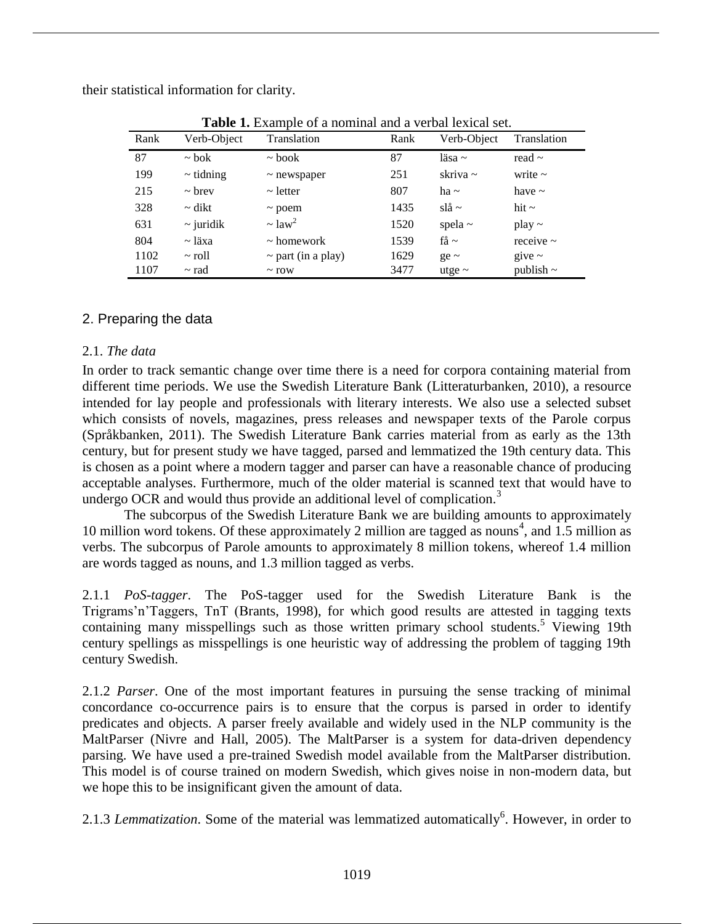their statistical information for clarity.

| Rank | Verb-Object    | Translation             | Rank | Verb-Object   | <b>Translation</b> |
|------|----------------|-------------------------|------|---------------|--------------------|
| 87   | $\sim$ bok     | $\sim$ book             | 87   | läsa $\sim$   | read $\sim$        |
| 199  | $\sim$ tidning | $\sim$ newspaper        | 251  | skriva $\sim$ | write $\sim$       |
| 215  | $\sim$ brev    | $\sim$ letter           | 807  | ha $\sim$     | have $\sim$        |
| 328  | $\sim$ dikt    | $\sim$ poem             | 1435 | $sl\aa \sim$  | hit $\sim$         |
| 631  | $\sim$ juridik | $\sim$ law <sup>2</sup> | 1520 | spela $\sim$  | $play \sim$        |
| 804  | ~ läxa         | $\sim$ homework         | 1539 | få $\sim$     | receive $\sim$     |
| 1102 | $\sim$ roll    | $\sim$ part (in a play) | 1629 | $ge \sim$     | give $\sim$        |
| 1107 | $\sim$ rad     | $\sim$ row              | 3477 | utge $\sim$   | publish $\sim$     |

**Table 1.** Example of a nominal and a verbal lexical set.

## 2. Preparing the data

## 2.1. *The data*

In order to track semantic change over time there is a need for corpora containing material from different time periods. We use the Swedish Literature Bank (Litteraturbanken, 2010), a resource intended for lay people and professionals with literary interests. We also use a selected subset which consists of novels, magazines, press releases and newspaper texts of the Parole corpus (Språkbanken, 2011). The Swedish Literature Bank carries material from as early as the 13th century, but for present study we have tagged, parsed and lemmatized the 19th century data. This is chosen as a point where a modern tagger and parser can have a reasonable chance of producing acceptable analyses. Furthermore, much of the older material is scanned text that would have to undergo OCR and would thus provide an additional level of complication.<sup>3</sup>

The subcorpus of the Swedish Literature Bank we are building amounts to approximately 10 million word tokens. Of these approximately 2 million are tagged as nouns<sup>4</sup>, and 1.5 million as verbs. The subcorpus of Parole amounts to approximately 8 million tokens, whereof 1.4 million are words tagged as nouns, and 1.3 million tagged as verbs.

2.1.1 *PoS-tagger*. The PoS-tagger used for the Swedish Literature Bank is the Trigrams'n'Taggers, TnT (Brants, 1998), for which good results are attested in tagging texts containing many misspellings such as those written primary school students.<sup>5</sup> Viewing 19th century spellings as misspellings is one heuristic way of addressing the problem of tagging 19th century Swedish.

2.1.2 *Parser*. One of the most important features in pursuing the sense tracking of minimal concordance co-occurrence pairs is to ensure that the corpus is parsed in order to identify predicates and objects. A parser freely available and widely used in the NLP community is the MaltParser (Nivre and Hall, 2005). The MaltParser is a system for data-driven dependency parsing. We have used a pre-trained Swedish model available from the MaltParser distribution. This model is of course trained on modern Swedish, which gives noise in non-modern data, but we hope this to be insignificant given the amount of data.

2.1.3 *Lemmatization*. Some of the material was lemmatized automatically<sup>6</sup>. However, in order to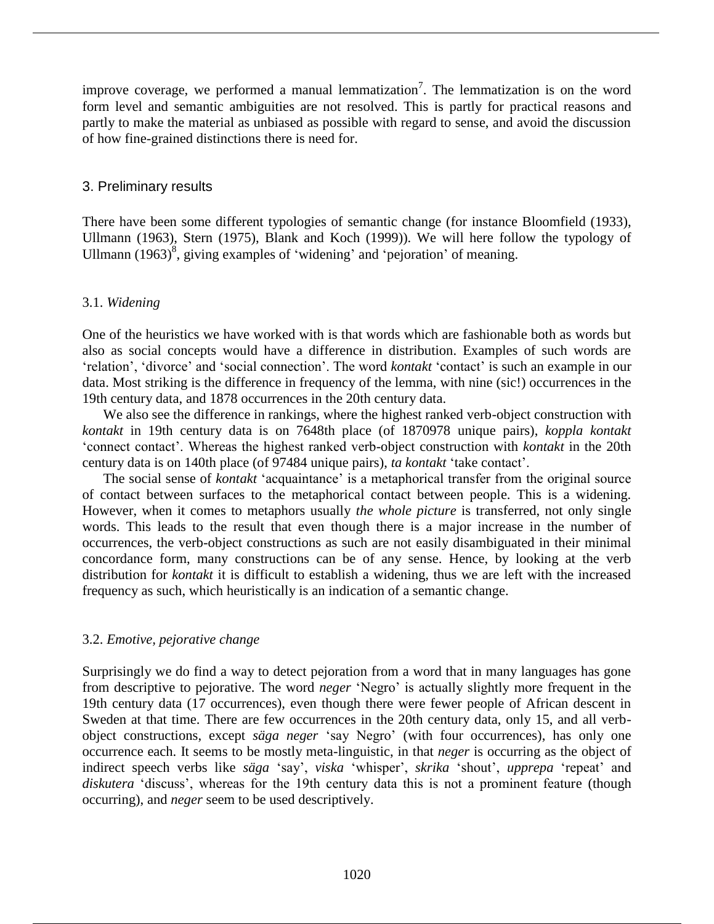improve coverage, we performed a manual lemmatization<sup>7</sup>. The lemmatization is on the word form level and semantic ambiguities are not resolved. This is partly for practical reasons and partly to make the material as unbiased as possible with regard to sense, and avoid the discussion of how fine-grained distinctions there is need for.

## 3. Preliminary results

There have been some different typologies of semantic change (for instance Bloomfield (1933), Ullmann (1963), Stern (1975), Blank and Koch (1999)). We will here follow the typology of Ullmann  $(1963)^8$ , giving examples of 'widening' and 'pejoration' of meaning.

#### 3.1. *Widening*

One of the heuristics we have worked with is that words which are fashionable both as words but also as social concepts would have a difference in distribution. Examples of such words are 'relation', 'divorce' and 'social connection'. The word *kontakt* 'contact' is such an example in our data. Most striking is the difference in frequency of the lemma, with nine (sic!) occurrences in the 19th century data, and 1878 occurrences in the 20th century data.

We also see the difference in rankings, where the highest ranked verb-object construction with *kontakt* in 19th century data is on 7648th place (of 1870978 unique pairs), *koppla kontakt* 'connect contact'. Whereas the highest ranked verb-object construction with *kontakt* in the 20th century data is on 140th place (of 97484 unique pairs), *ta kontakt* 'take contact'.

The social sense of *kontakt* 'acquaintance' is a metaphorical transfer from the original source of contact between surfaces to the metaphorical contact between people. This is a widening. However, when it comes to metaphors usually *the whole picture* is transferred, not only single words. This leads to the result that even though there is a major increase in the number of occurrences, the verb-object constructions as such are not easily disambiguated in their minimal concordance form, many constructions can be of any sense. Hence, by looking at the verb distribution for *kontakt* it is difficult to establish a widening, thus we are left with the increased frequency as such, which heuristically is an indication of a semantic change.

## 3.2. *Emotive, pejorative change*

Surprisingly we do find a way to detect pejoration from a word that in many languages has gone from descriptive to pejorative. The word *neger* 'Negro' is actually slightly more frequent in the 19th century data (17 occurrences), even though there were fewer people of African descent in Sweden at that time. There are few occurrences in the 20th century data, only 15, and all verbobject constructions, except *säga neger* 'say Negro' (with four occurrences), has only one occurrence each. It seems to be mostly meta-linguistic, in that *neger* is occurring as the object of indirect speech verbs like *säga* 'say', *viska* 'whisper', *skrika* 'shout', *upprepa* 'repeat' and *diskutera* 'discuss', whereas for the 19th century data this is not a prominent feature (though occurring), and *neger* seem to be used descriptively.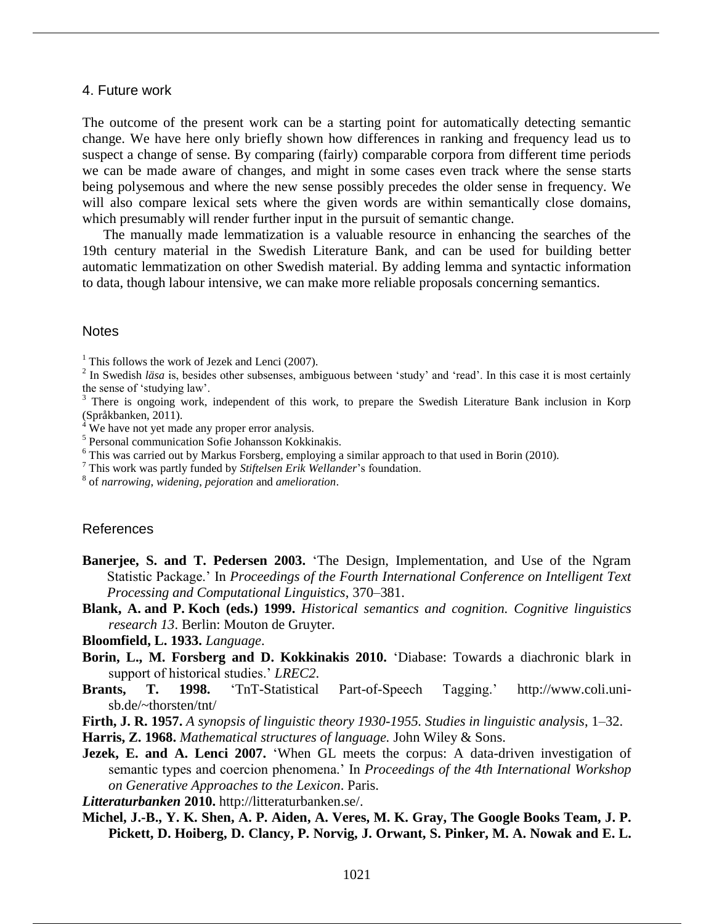#### 4. Future work

The outcome of the present work can be a starting point for automatically detecting semantic change. We have here only briefly shown how differences in ranking and frequency lead us to suspect a change of sense. By comparing (fairly) comparable corpora from different time periods we can be made aware of changes, and might in some cases even track where the sense starts being polysemous and where the new sense possibly precedes the older sense in frequency. We will also compare lexical sets where the given words are within semantically close domains, which presumably will render further input in the pursuit of semantic change.

The manually made lemmatization is a valuable resource in enhancing the searches of the 19th century material in the Swedish Literature Bank, and can be used for building better automatic lemmatization on other Swedish material. By adding lemma and syntactic information to data, though labour intensive, we can make more reliable proposals concerning semantics.

#### **Notes**

- 5 Personal communication Sofie Johansson Kokkinakis.
- $6$  This was carried out by Markus Forsberg, employing a similar approach to that used in Borin (2010).
- <sup>7</sup> This work was partly funded by *Stiftelsen Erik Wellander*'s foundation.

8 of *narrowing*, *widening*, *pejoration* and *amelioration*.

#### References

- **Banerjee, S. and T. Pedersen 2003.** 'The Design, Implementation, and Use of the Ngram Statistic Package.' In *Proceedings of the Fourth International Conference on Intelligent Text Processing and Computational Linguistics*, 370–381.
- **Blank, A. and P. Koch (eds.) 1999.** *Historical semantics and cognition. Cognitive linguistics research 13*. Berlin: Mouton de Gruyter.

**Bloomfield, L. 1933.** *Language*.

- **Borin, L., M. Forsberg and D. Kokkinakis 2010.** 'Diabase: Towards a diachronic blark in support of historical studies.' *LREC2*.
- **Brants, T. 1998.** 'TnT-Statistical Part-of-Speech Tagging.' http://www.coli.unisb.de/~thorsten/tnt/

**Firth, J. R. 1957.** *A synopsis of linguistic theory 1930-1955. Studies in linguistic analysis*, 1–32.

**Harris, Z. 1968.** *Mathematical structures of language.* John Wiley & Sons.

**Jezek, E. and A. Lenci 2007.** 'When GL meets the corpus: A data-driven investigation of semantic types and coercion phenomena.' In *Proceedings of the 4th International Workshop on Generative Approaches to the Lexicon*. Paris.

*Litteraturbanken* **2010.** http://litteraturbanken.se/.

**Michel, J.-B., Y. K. Shen, A. P. Aiden, A. Veres, M. K. Gray, The Google Books Team, J. P. Pickett, D. Hoiberg, D. Clancy, P. Norvig, J. Orwant, S. Pinker, M. A. Nowak and E. L.** 

<sup>&</sup>lt;sup>1</sup> This follows the work of Jezek and Lenci (2007).

 $2 \text{ In Swedish } l\ddot{a}sa$  is, besides other subsenses, ambiguous between 'study' and 'read'. In this case it is most certainly the sense of 'studying law'.

<sup>&</sup>lt;sup>3</sup> There is ongoing work, independent of this work, to prepare the Swedish Literature Bank inclusion in Korp (Språkbanken, 2011).

 $4\overline{W}$  We have not yet made any proper error analysis.